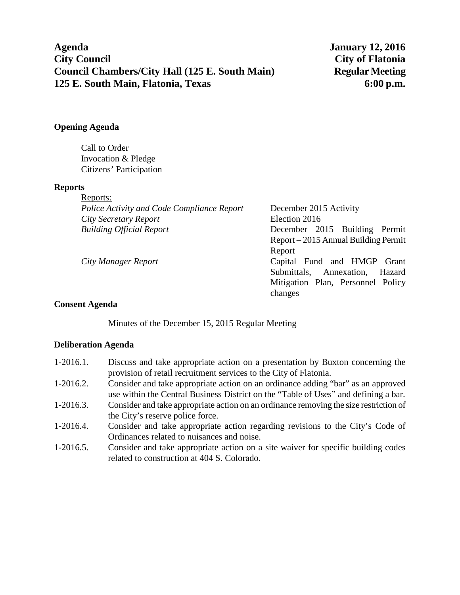**Agenda January 12, 2016 City Council City of Flatonia Council Chambers/City Hall (125 E. South Main)** Regular Meeting **125 E. South Main, Flatonia, Texas 6:00 p.m.**

# **Opening Agenda**

Call to Order Invocation & Pledge Citizens' Participation

#### **Reports**

| Reports:                                   |                                      |
|--------------------------------------------|--------------------------------------|
| Police Activity and Code Compliance Report | December 2015 Activity               |
| City Secretary Report                      | Election 2016                        |
| <b>Building Official Report</b>            | December 2015 Building Permit        |
|                                            | Report – 2015 Annual Building Permit |
|                                            | Report                               |
| City Manager Report                        | Capital Fund and HMGP Grant          |
|                                            | Submittals, Annexation,<br>Hazard    |
|                                            | Mitigation Plan, Personnel Policy    |

changes

### **Consent Agenda**

Minutes of the December 15, 2015 Regular Meeting

### **Deliberation Agenda**

- 1-2016.1. Discuss and take appropriate action on a presentation by Buxton concerning the provision of retail recruitment services to the City of Flatonia.
- 1-2016.2. Consider and take appropriate action on an ordinance adding "bar" as an approved use within the Central Business District on the "Table of Uses" and defining a bar.
- 1-2016.3. Consider and take appropriate action on an ordinance removing the size restriction of the City's reserve police force.
- 1-2016.4. Consider and take appropriate action regarding revisions to the City's Code of Ordinances related to nuisances and noise.
- 1-2016.5. Consider and take appropriate action on a site waiver for specific building codes related to construction at 404 S. Colorado.